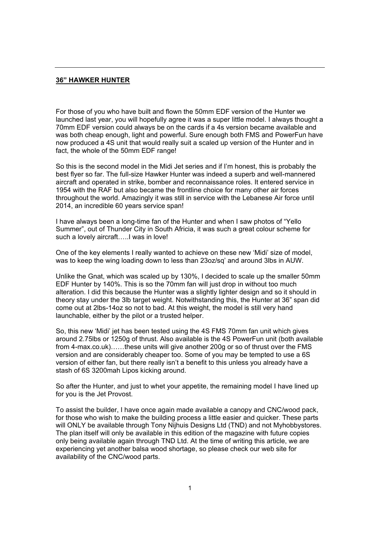#### **36" HAWKER HUNTER**

For those of you who have built and flown the 50mm EDF version of the Hunter we launched last year, you will hopefully agree it was a super little model. I always thought a 70mm EDF version could always be on the cards if a 4s version became available and was both cheap enough, light and powerful. Sure enough both FMS and PowerFun have now produced a 4S unit that would really suit a scaled up version of the Hunter and in fact, the whole of the 50mm EDF range!

So this is the second model in the Midi Jet series and if I'm honest, this is probably the best flyer so far. The full-size Hawker Hunter was indeed a superb and well-mannered aircraft and operated in strike, bomber and reconnaissance roles. It entered service in 1954 with the RAF but also became the frontline choice for many other air forces throughout the world. Amazingly it was still in service with the Lebanese Air force until 2014, an incredible 60 years service span!

I have always been a long-time fan of the Hunter and when I saw photos of "Yello Summer", out of Thunder City in South Africia, it was such a great colour scheme for such a lovely aircraft…..I was in love!

One of the key elements I really wanted to achieve on these new 'Midi' size of model, was to keep the wing loading down to less than 23oz/sq' and around 3lbs in AUW.

Unlike the Gnat, which was scaled up by 130%, I decided to scale up the smaller 50mm EDF Hunter by 140%. This is so the 70mm fan will just drop in without too much alteration. I did this because the Hunter was a slightly lighter design and so it should in theory stay under the 3lb target weight. Notwithstanding this, the Hunter at 36" span did come out at 2lbs-14oz so not to bad. At this weight, the model is still very hand launchable, either by the pilot or a trusted helper.

So, this new 'Midi' jet has been tested using the 4S FMS 70mm fan unit which gives around 2.75lbs or 1250g of thrust. Also available is the 4S PowerFun unit (both available from 4-max.co.uk)……these units will give another 200g or so of thrust over the FMS version and are considerably cheaper too. Some of you may be tempted to use a 6S version of either fan, but there really isn't a benefit to this unless you already have a stash of 6S 3200mah Lipos kicking around.

So after the Hunter, and just to whet your appetite, the remaining model I have lined up for you is the Jet Provost.

To assist the builder, I have once again made available a canopy and CNC/wood pack, for those who wish to make the building process a little easier and quicker. These parts will ONLY be available through Tony Nijhuis Designs Ltd (TND) and not Myhobbystores. The plan itself will only be available in this edition of the magazine with future copies only being available again through TND Ltd. At the time of writing this article, we are experiencing yet another balsa wood shortage, so please check our web site for availability of the CNC/wood parts.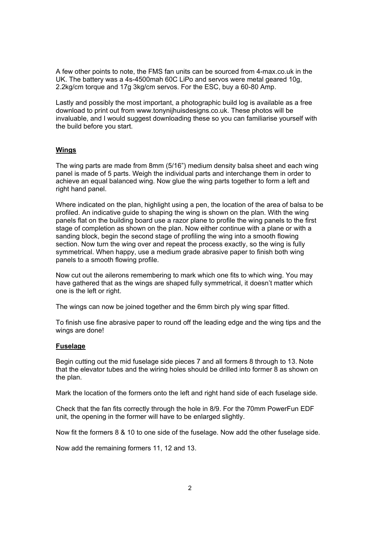A few other points to note, the FMS fan units can be sourced from 4-max.co.uk in the UK. The battery was a 4s-4500mah 60C LiPo and servos were metal geared 10g, 2.2kg/cm torque and 17g 3kg/cm servos. For the ESC, buy a 60-80 Amp.

Lastly and possibly the most important, a photographic build log is available as a free download to print out from www.tonynijhuisdesigns.co.uk. These photos will be invaluable, and I would suggest downloading these so you can familiarise yourself with the build before you start.

# **Wings**

The wing parts are made from 8mm (5/16") medium density balsa sheet and each wing panel is made of 5 parts. Weigh the individual parts and interchange them in order to achieve an equal balanced wing. Now glue the wing parts together to form a left and right hand panel.

Where indicated on the plan, highlight using a pen, the location of the area of balsa to be profiled. An indicative guide to shaping the wing is shown on the plan. With the wing panels flat on the building board use a razor plane to profile the wing panels to the first stage of completion as shown on the plan. Now either continue with a plane or with a sanding block, begin the second stage of profiling the wing into a smooth flowing section. Now turn the wing over and repeat the process exactly, so the wing is fully symmetrical. When happy, use a medium grade abrasive paper to finish both wing panels to a smooth flowing profile.

Now cut out the ailerons remembering to mark which one fits to which wing. You may have gathered that as the wings are shaped fully symmetrical, it doesn't matter which one is the left or right.

The wings can now be joined together and the 6mm birch ply wing spar fitted.

To finish use fine abrasive paper to round off the leading edge and the wing tips and the wings are done!

## **Fuselage**

Begin cutting out the mid fuselage side pieces 7 and all formers 8 through to 13. Note that the elevator tubes and the wiring holes should be drilled into former 8 as shown on the plan.

Mark the location of the formers onto the left and right hand side of each fuselage side.

Check that the fan fits correctly through the hole in 8/9. For the 70mm PowerFun EDF unit, the opening in the former will have to be enlarged slightly.

Now fit the formers 8 & 10 to one side of the fuselage. Now add the other fuselage side.

Now add the remaining formers 11, 12 and 13.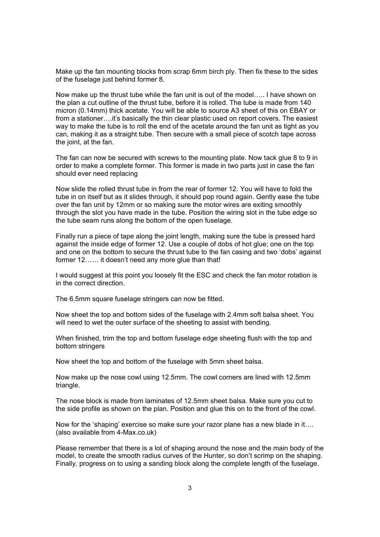Make up the fan mounting blocks from scrap 6mm birch ply. Then fix these to the sides of the fuselage just behind former 8.

Now make up the thrust tube while the fan unit is out of the model….. I have shown on the plan a cut outline of the thrust tube, before it is rolled. The tube is made from 140 micron (0.14mm) thick acetate. You will be able to source A3 sheet of this on EBAY or from a stationer….it's basically the thin clear plastic used on report covers. The easiest way to make the tube is to roll the end of the acetate around the fan unit as tight as you can, making it as a straight tube. Then secure with a small piece of scotch tape across the joint, at the fan.

The fan can now be secured with screws to the mounting plate. Now tack glue 8 to 9 in order to make a complete former. This former is made in two parts just in case the fan should ever need replacing

Now slide the rolled thrust tube in from the rear of former 12. You will have to fold the tube in on itself but as it slides through, it should pop round again. Gently ease the tube over the fan unit by 12mm or so making sure the motor wires are exiting smoothly through the slot you have made in the tube. Position the wiring slot in the tube edge so the tube seam runs along the bottom of the open fuselage.

Finally run a piece of tape along the joint length, making sure the tube is pressed hard against the inside edge of former 12. Use a couple of dobs of hot glue; one on the top and one on the bottom to secure the thrust tube to the fan casing and two 'dobs' against former 12…… it doesn't need any more glue than that!

I would suggest at this point you loosely fit the ESC and check the fan motor rotation is in the correct direction.

The 6.5mm square fuselage stringers can now be fitted.

Now sheet the top and bottom sides of the fuselage with 2.4mm soft balsa sheet. You will need to wet the outer surface of the sheeting to assist with bending.

When finished, trim the top and bottom fuselage edge sheeting flush with the top and bottom stringers

Now sheet the top and bottom of the fuselage with 5mm sheet balsa.

Now make up the nose cowl using 12.5mm. The cowl corners are lined with 12.5mm triangle.

The nose block is made from laminates of 12.5mm sheet balsa. Make sure you cut to the side profile as shown on the plan. Position and glue this on to the front of the cowl.

Now for the 'shaping' exercise so make sure your razor plane has a new blade in it…. (also available from 4-Max.co.uk)

Please remember that there is a lot of shaping around the nose and the main body of the model, to create the smooth radius curves of the Hunter, so don't scrimp on the shaping. Finally, progress on to using a sanding block along the complete length of the fuselage.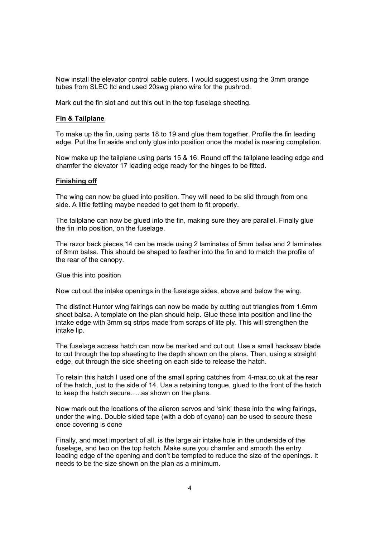Now install the elevator control cable outers. I would suggest using the 3mm orange tubes from SLEC ltd and used 20swg piano wire for the pushrod.

Mark out the fin slot and cut this out in the top fuselage sheeting.

## **Fin & Tailplane**

To make up the fin, using parts 18 to 19 and glue them together. Profile the fin leading edge. Put the fin aside and only glue into position once the model is nearing completion.

Now make up the tailplane using parts 15 & 16. Round off the tailplane leading edge and chamfer the elevator 17 leading edge ready for the hinges to be fitted.

#### **Finishing off**

The wing can now be glued into position. They will need to be slid through from one side. A little fettling maybe needed to get them to fit properly.

The tailplane can now be glued into the fin, making sure they are parallel. Finally glue the fin into position, on the fuselage.

The razor back pieces,14 can be made using 2 laminates of 5mm balsa and 2 laminates of 8mm balsa. This should be shaped to feather into the fin and to match the profile of the rear of the canopy.

Glue this into position

Now cut out the intake openings in the fuselage sides, above and below the wing.

The distinct Hunter wing fairings can now be made by cutting out triangles from 1.6mm sheet balsa. A template on the plan should help. Glue these into position and line the intake edge with 3mm sq strips made from scraps of lite ply. This will strengthen the intake lip.

The fuselage access hatch can now be marked and cut out. Use a small hacksaw blade to cut through the top sheeting to the depth shown on the plans. Then, using a straight edge, cut through the side sheeting on each side to release the hatch.

To retain this hatch I used one of the small spring catches from 4-max.co.uk at the rear of the hatch, just to the side of 14. Use a retaining tongue, glued to the front of the hatch to keep the hatch secure…..as shown on the plans.

Now mark out the locations of the aileron servos and 'sink' these into the wing fairings, under the wing. Double sided tape (with a dob of cyano) can be used to secure these once covering is done

Finally, and most important of all, is the large air intake hole in the underside of the fuselage, and two on the top hatch. Make sure you chamfer and smooth the entry leading edge of the opening and don't be tempted to reduce the size of the openings. It needs to be the size shown on the plan as a minimum.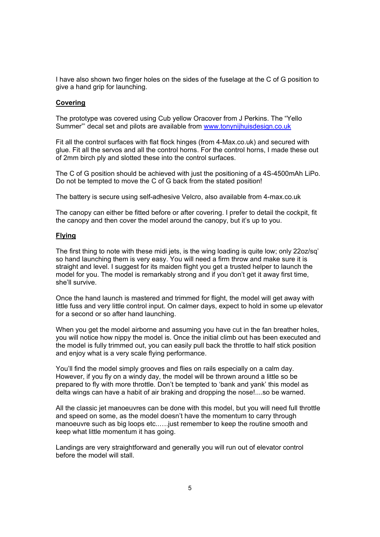I have also shown two finger holes on the sides of the fuselage at the C of G position to give a hand grip for launching.

#### **Covering**

The prototype was covered using Cub yellow Oracover from J Perkins. The "Yello Summer"' decal set and pilots are available from www.tonynijhuisdesign.co.uk

Fit all the control surfaces with flat flock hinges (from 4-Max.co.uk) and secured with glue. Fit all the servos and all the control horns. For the control horns, I made these out of 2mm birch ply and slotted these into the control surfaces.

The C of G position should be achieved with just the positioning of a 4S-4500mAh LiPo. Do not be tempted to move the C of G back from the stated position!

The battery is secure using self-adhesive Velcro, also available from 4-max.co.uk

The canopy can either be fitted before or after covering. I prefer to detail the cockpit, fit the canopy and then cover the model around the canopy, but it's up to you.

#### **Flying**

The first thing to note with these midi jets, is the wing loading is quite low; only 22oz/sq' so hand launching them is very easy. You will need a firm throw and make sure it is straight and level. I suggest for its maiden flight you get a trusted helper to launch the model for you. The model is remarkably strong and if you don't get it away first time, she'll survive.

Once the hand launch is mastered and trimmed for flight, the model will get away with little fuss and very little control input. On calmer days, expect to hold in some up elevator for a second or so after hand launching.

When you get the model airborne and assuming you have cut in the fan breather holes, you will notice how nippy the model is. Once the initial climb out has been executed and the model is fully trimmed out, you can easily pull back the throttle to half stick position and enjoy what is a very scale flying performance.

You'll find the model simply grooves and flies on rails especially on a calm day. However, if you fly on a windy day, the model will be thrown around a little so be prepared to fly with more throttle. Don't be tempted to 'bank and yank' this model as delta wings can have a habit of air braking and dropping the nose!....so be warned.

All the classic jet manoeuvres can be done with this model, but you will need full throttle and speed on some, as the model doesn't have the momentum to carry through manoeuvre such as big loops etc..….just remember to keep the routine smooth and keep what little momentum it has going.

Landings are very straightforward and generally you will run out of elevator control before the model will stall.